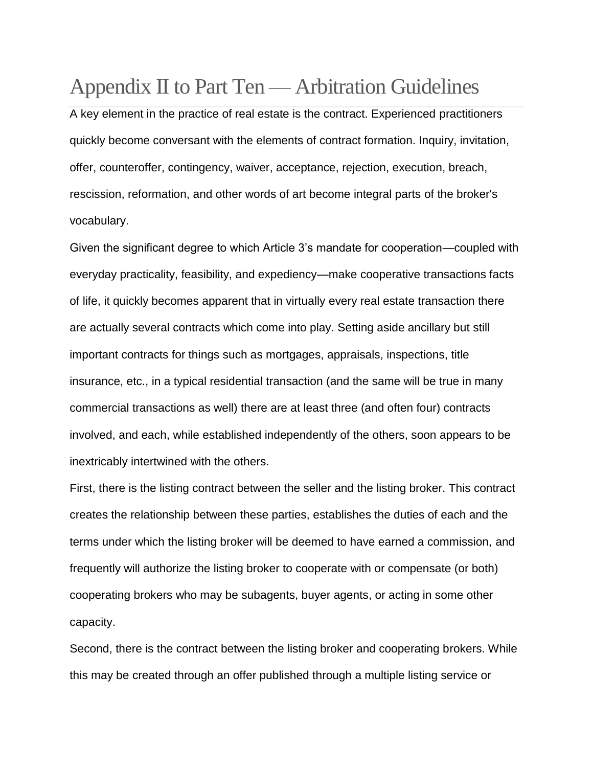# Appendix II to Part Ten — Arbitration Guidelines

A key element in the practice of real estate is the contract. Experienced practitioners quickly become conversant with the elements of contract formation. Inquiry, invitation, offer, counteroffer, contingency, waiver, acceptance, rejection, execution, breach, rescission, reformation, and other words of art become integral parts of the broker's vocabulary.

Given the significant degree to which Article 3's mandate for cooperation—coupled with everyday practicality, feasibility, and expediency—make cooperative transactions facts of life, it quickly becomes apparent that in virtually every real estate transaction there are actually several contracts which come into play. Setting aside ancillary but still important contracts for things such as mortgages, appraisals, inspections, title insurance, etc., in a typical residential transaction (and the same will be true in many commercial transactions as well) there are at least three (and often four) contracts involved, and each, while established independently of the others, soon appears to be inextricably intertwined with the others.

First, there is the listing contract between the seller and the listing broker. This contract creates the relationship between these parties, establishes the duties of each and the terms under which the listing broker will be deemed to have earned a commission, and frequently will authorize the listing broker to cooperate with or compensate (or both) cooperating brokers who may be subagents, buyer agents, or acting in some other capacity.

Second, there is the contract between the listing broker and cooperating brokers. While this may be created through an offer published through a multiple listing service or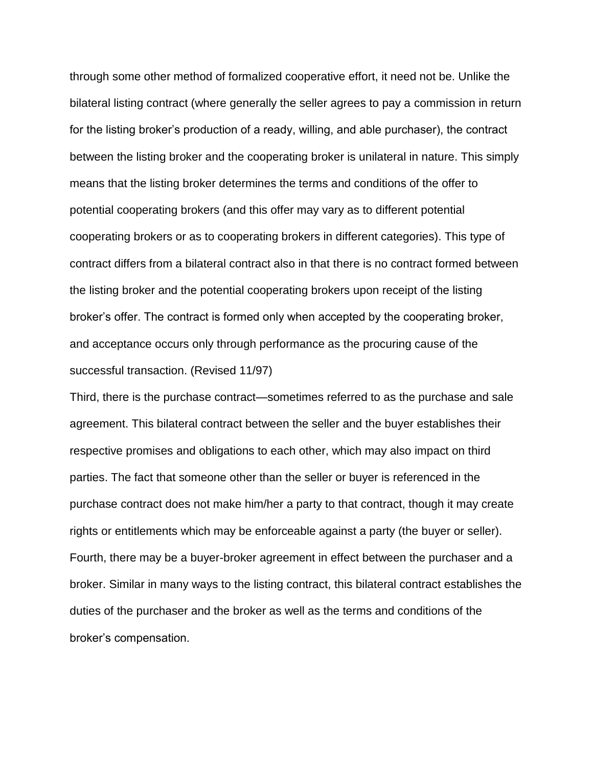through some other method of formalized cooperative effort, it need not be. Unlike the bilateral listing contract (where generally the seller agrees to pay a commission in return for the listing broker's production of a ready, willing, and able purchaser), the contract between the listing broker and the cooperating broker is unilateral in nature. This simply means that the listing broker determines the terms and conditions of the offer to potential cooperating brokers (and this offer may vary as to different potential cooperating brokers or as to cooperating brokers in different categories). This type of contract differs from a bilateral contract also in that there is no contract formed between the listing broker and the potential cooperating brokers upon receipt of the listing broker's offer. The contract is formed only when accepted by the cooperating broker, and acceptance occurs only through performance as the procuring cause of the successful transaction. (Revised 11/97)

Third, there is the purchase contract—sometimes referred to as the purchase and sale agreement. This bilateral contract between the seller and the buyer establishes their respective promises and obligations to each other, which may also impact on third parties. The fact that someone other than the seller or buyer is referenced in the purchase contract does not make him/her a party to that contract, though it may create rights or entitlements which may be enforceable against a party (the buyer or seller). Fourth, there may be a buyer-broker agreement in effect between the purchaser and a broker. Similar in many ways to the listing contract, this bilateral contract establishes the duties of the purchaser and the broker as well as the terms and conditions of the broker's compensation.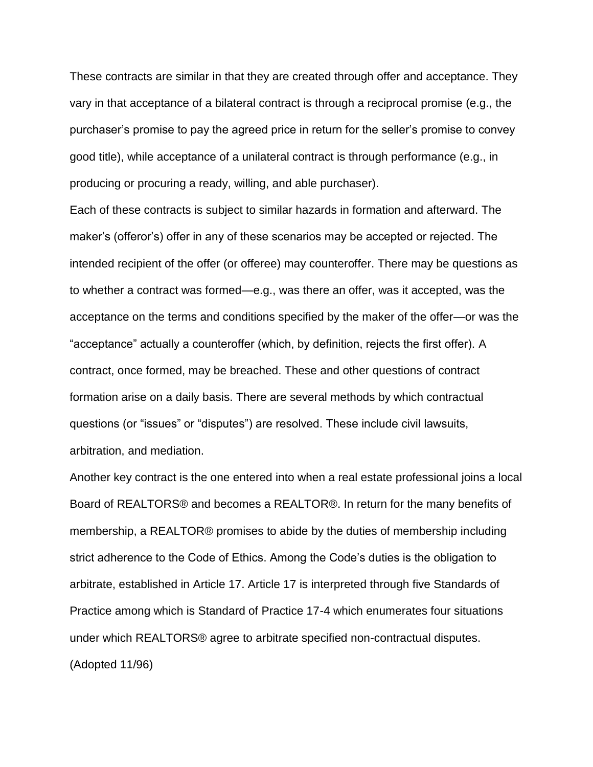These contracts are similar in that they are created through offer and acceptance. They vary in that acceptance of a bilateral contract is through a reciprocal promise (e.g., the purchaser's promise to pay the agreed price in return for the seller's promise to convey good title), while acceptance of a unilateral contract is through performance (e.g., in producing or procuring a ready, willing, and able purchaser).

Each of these contracts is subject to similar hazards in formation and afterward. The maker's (offeror's) offer in any of these scenarios may be accepted or rejected. The intended recipient of the offer (or offeree) may counteroffer. There may be questions as to whether a contract was formed—e.g., was there an offer, was it accepted, was the acceptance on the terms and conditions specified by the maker of the offer—or was the "acceptance" actually a counteroffer (which, by definition, rejects the first offer). A contract, once formed, may be breached. These and other questions of contract formation arise on a daily basis. There are several methods by which contractual questions (or "issues" or "disputes") are resolved. These include civil lawsuits, arbitration, and mediation.

Another key contract is the one entered into when a real estate professional joins a local Board of REALTORS® and becomes a REALTOR®. In return for the many benefits of membership, a REALTOR® promises to abide by the duties of membership including strict adherence to the Code of Ethics. Among the Code's duties is the obligation to arbitrate, established in Article 17. Article 17 is interpreted through five Standards of Practice among which is Standard of Practice 17-4 which enumerates four situations under which REALTORS® agree to arbitrate specified non-contractual disputes. (Adopted 11/96)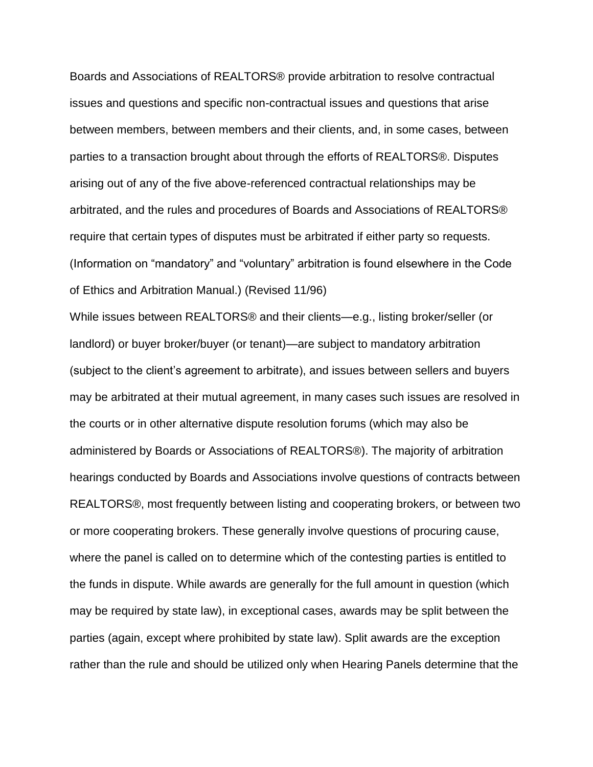Boards and Associations of REALTORS® provide arbitration to resolve contractual issues and questions and specific non-contractual issues and questions that arise between members, between members and their clients, and, in some cases, between parties to a transaction brought about through the efforts of REALTORS®. Disputes arising out of any of the five above-referenced contractual relationships may be arbitrated, and the rules and procedures of Boards and Associations of REALTORS® require that certain types of disputes must be arbitrated if either party so requests. (Information on "mandatory" and "voluntary" arbitration is found elsewhere in the Code of Ethics and Arbitration Manual.) (Revised 11/96)

While issues between REALTORS® and their clients—e.g., listing broker/seller (or landlord) or buyer broker/buyer (or tenant)—are subject to mandatory arbitration (subject to the client's agreement to arbitrate), and issues between sellers and buyers may be arbitrated at their mutual agreement, in many cases such issues are resolved in the courts or in other alternative dispute resolution forums (which may also be administered by Boards or Associations of REALTORS®). The majority of arbitration hearings conducted by Boards and Associations involve questions of contracts between REALTORS®, most frequently between listing and cooperating brokers, or between two or more cooperating brokers. These generally involve questions of procuring cause, where the panel is called on to determine which of the contesting parties is entitled to the funds in dispute. While awards are generally for the full amount in question (which may be required by state law), in exceptional cases, awards may be split between the parties (again, except where prohibited by state law). Split awards are the exception rather than the rule and should be utilized only when Hearing Panels determine that the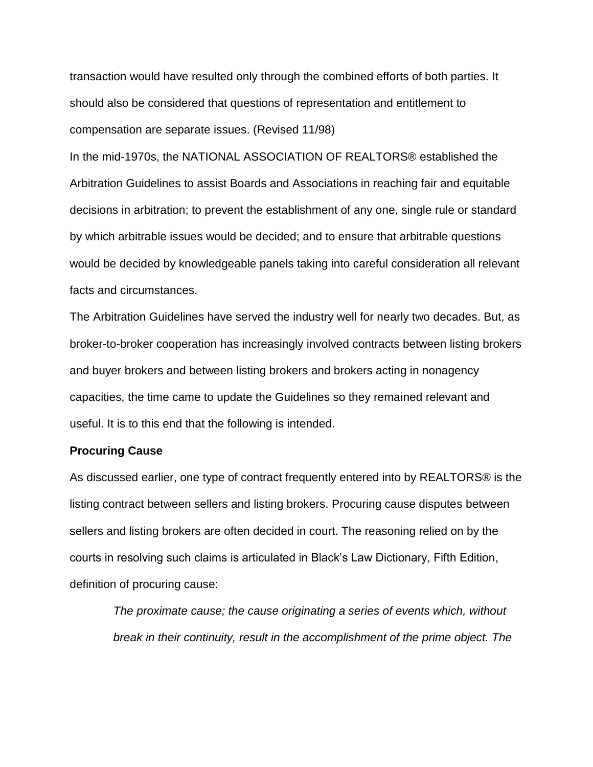transaction would have resulted only through the combined efforts of both parties. It should also be considered that questions of representation and entitlement to compensation are separate issues. (Revised 11/98)

In the mid-1970s, the NATIONAL ASSOCIATION OF REALTORS® established the Arbitration Guidelines to assist Boards and Associations in reaching fair and equitable decisions in arbitration; to prevent the establishment of any one, single rule or standard by which arbitrable issues would be decided; and to ensure that arbitrable questions would be decided by knowledgeable panels taking into careful consideration all relevant facts and circumstances.

The Arbitration Guidelines have served the industry well for nearly two decades. But, as broker-to-broker cooperation has increasingly involved contracts between listing brokers and buyer brokers and between listing brokers and brokers acting in nonagency capacities, the time came to update the Guidelines so they remained relevant and useful. It is to this end that the following is intended.

### **Procuring Cause**

As discussed earlier, one type of contract frequently entered into by REALTORS® is the listing contract between sellers and listing brokers. Procuring cause disputes between sellers and listing brokers are often decided in court. The reasoning relied on by the courts in resolving such claims is articulated in Black's Law Dictionary, Fifth Edition, definition of procuring cause:

*The proximate cause; the cause originating a series of events which, without break in their continuity, result in the accomplishment of the prime object. The*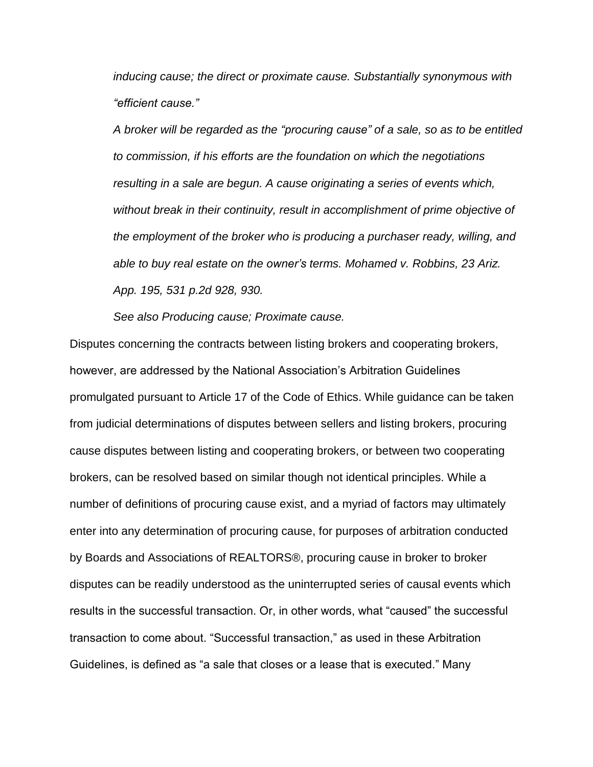*inducing cause; the direct or proximate cause. Substantially synonymous with "efficient cause."*

*A broker will be regarded as the "procuring cause" of a sale, so as to be entitled to commission, if his efforts are the foundation on which the negotiations resulting in a sale are begun. A cause originating a series of events which, without break in their continuity, result in accomplishment of prime objective of the employment of the broker who is producing a purchaser ready, willing, and able to buy real estate on the owner's terms. Mohamed v. Robbins, 23 Ariz. App. 195, 531 p.2d 928, 930.*

*See also Producing cause; Proximate cause.*

Disputes concerning the contracts between listing brokers and cooperating brokers, however, are addressed by the National Association's Arbitration Guidelines promulgated pursuant to Article 17 of the Code of Ethics. While guidance can be taken from judicial determinations of disputes between sellers and listing brokers, procuring cause disputes between listing and cooperating brokers, or between two cooperating brokers, can be resolved based on similar though not identical principles. While a number of definitions of procuring cause exist, and a myriad of factors may ultimately enter into any determination of procuring cause, for purposes of arbitration conducted by Boards and Associations of REALTORS®, procuring cause in broker to broker disputes can be readily understood as the uninterrupted series of causal events which results in the successful transaction. Or, in other words, what "caused" the successful transaction to come about. "Successful transaction," as used in these Arbitration Guidelines, is defined as "a sale that closes or a lease that is executed." Many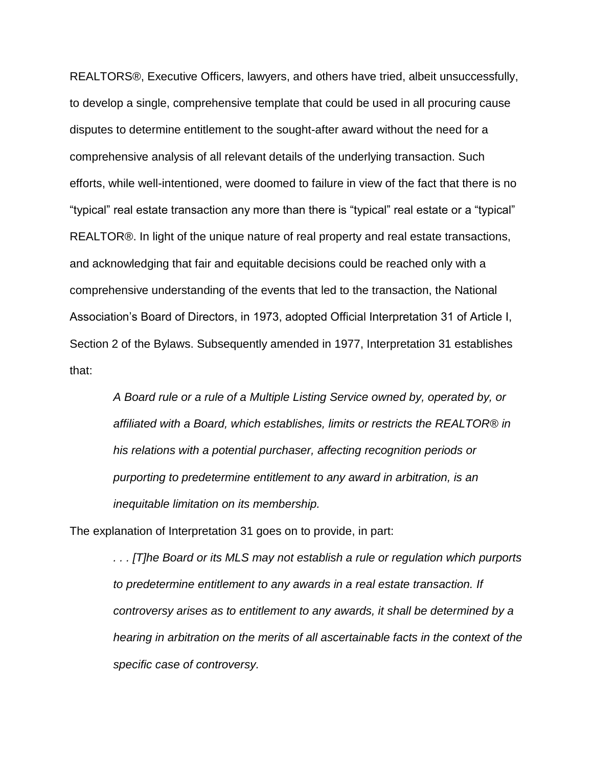REALTORS®, Executive Officers, lawyers, and others have tried, albeit unsuccessfully, to develop a single, comprehensive template that could be used in all procuring cause disputes to determine entitlement to the sought-after award without the need for a comprehensive analysis of all relevant details of the underlying transaction. Such efforts, while well-intentioned, were doomed to failure in view of the fact that there is no "typical" real estate transaction any more than there is "typical" real estate or a "typical" REALTOR®. In light of the unique nature of real property and real estate transactions, and acknowledging that fair and equitable decisions could be reached only with a comprehensive understanding of the events that led to the transaction, the National Association's Board of Directors, in 1973, adopted Official Interpretation 31 of Article I, Section 2 of the Bylaws. Subsequently amended in 1977, Interpretation 31 establishes that:

*A Board rule or a rule of a Multiple Listing Service owned by, operated by, or affiliated with a Board, which establishes, limits or restricts the REALTOR® in his relations with a potential purchaser, affecting recognition periods or purporting to predetermine entitlement to any award in arbitration, is an inequitable limitation on its membership.*

The explanation of Interpretation 31 goes on to provide, in part:

*. . . [T]he Board or its MLS may not establish a rule or regulation which purports to predetermine entitlement to any awards in a real estate transaction. If controversy arises as to entitlement to any awards, it shall be determined by a hearing in arbitration on the merits of all ascertainable facts in the context of the specific case of controversy.*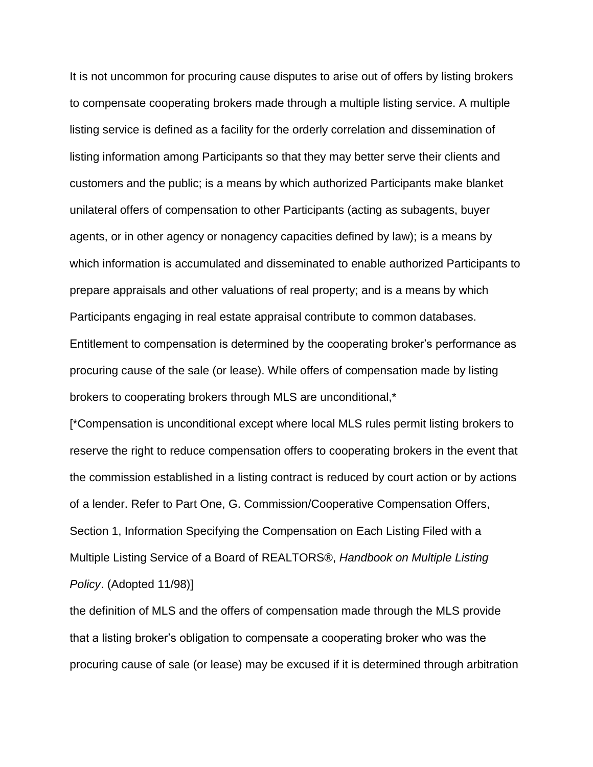It is not uncommon for procuring cause disputes to arise out of offers by listing brokers to compensate cooperating brokers made through a multiple listing service. A multiple listing service is defined as a facility for the orderly correlation and dissemination of listing information among Participants so that they may better serve their clients and customers and the public; is a means by which authorized Participants make blanket unilateral offers of compensation to other Participants (acting as subagents, buyer agents, or in other agency or nonagency capacities defined by law); is a means by which information is accumulated and disseminated to enable authorized Participants to prepare appraisals and other valuations of real property; and is a means by which Participants engaging in real estate appraisal contribute to common databases. Entitlement to compensation is determined by the cooperating broker's performance as procuring cause of the sale (or lease). While offers of compensation made by listing brokers to cooperating brokers through MLS are unconditional,\*

[\*Compensation is unconditional except where local MLS rules permit listing brokers to reserve the right to reduce compensation offers to cooperating brokers in the event that the commission established in a listing contract is reduced by court action or by actions of a lender. Refer to Part One, G. Commission/Cooperative Compensation Offers, Section 1, Information Specifying the Compensation on Each Listing Filed with a Multiple Listing Service of a Board of REALTORS®, *Handbook on Multiple Listing Policy*. (Adopted 11/98)]

the definition of MLS and the offers of compensation made through the MLS provide that a listing broker's obligation to compensate a cooperating broker who was the procuring cause of sale (or lease) may be excused if it is determined through arbitration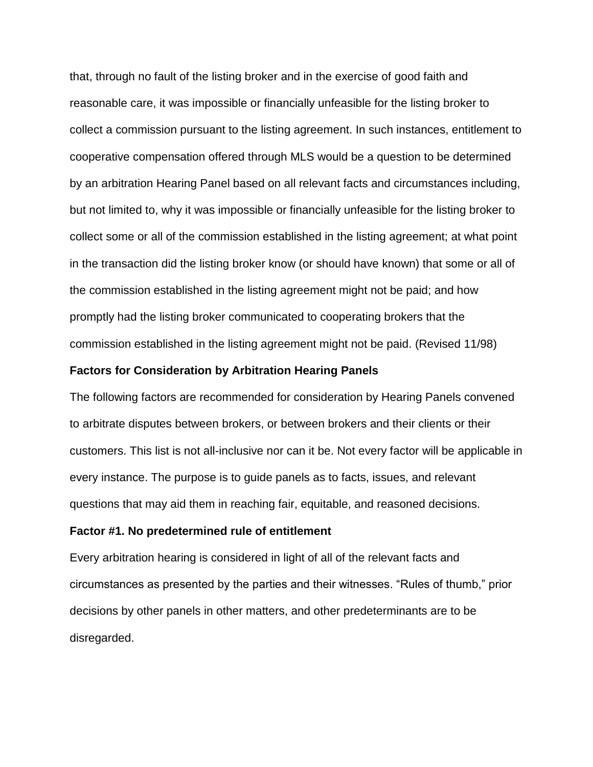that, through no fault of the listing broker and in the exercise of good faith and reasonable care, it was impossible or financially unfeasible for the listing broker to collect a commission pursuant to the listing agreement. In such instances, entitlement to cooperative compensation offered through MLS would be a question to be determined by an arbitration Hearing Panel based on all relevant facts and circumstances including, but not limited to, why it was impossible or financially unfeasible for the listing broker to collect some or all of the commission established in the listing agreement; at what point in the transaction did the listing broker know (or should have known) that some or all of the commission established in the listing agreement might not be paid; and how promptly had the listing broker communicated to cooperating brokers that the commission established in the listing agreement might not be paid. (Revised 11/98)

### **Factors for Consideration by Arbitration Hearing Panels**

The following factors are recommended for consideration by Hearing Panels convened to arbitrate disputes between brokers, or between brokers and their clients or their customers. This list is not all-inclusive nor can it be. Not every factor will be applicable in every instance. The purpose is to guide panels as to facts, issues, and relevant questions that may aid them in reaching fair, equitable, and reasoned decisions.

### **Factor #1. No predetermined rule of entitlement**

Every arbitration hearing is considered in light of all of the relevant facts and circumstances as presented by the parties and their witnesses. "Rules of thumb," prior decisions by other panels in other matters, and other predeterminants are to be disregarded.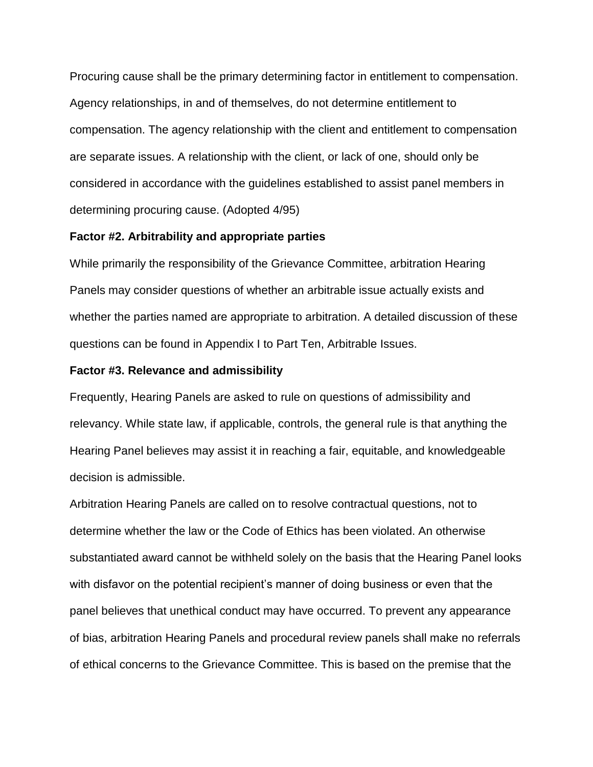Procuring cause shall be the primary determining factor in entitlement to compensation. Agency relationships, in and of themselves, do not determine entitlement to compensation. The agency relationship with the client and entitlement to compensation are separate issues. A relationship with the client, or lack of one, should only be considered in accordance with the guidelines established to assist panel members in determining procuring cause. (Adopted 4/95)

### **Factor #2. Arbitrability and appropriate parties**

While primarily the responsibility of the Grievance Committee, arbitration Hearing Panels may consider questions of whether an arbitrable issue actually exists and whether the parties named are appropriate to arbitration. A detailed discussion of these questions can be found in Appendix I to Part Ten, Arbitrable Issues.

#### **Factor #3. Relevance and admissibility**

Frequently, Hearing Panels are asked to rule on questions of admissibility and relevancy. While state law, if applicable, controls, the general rule is that anything the Hearing Panel believes may assist it in reaching a fair, equitable, and knowledgeable decision is admissible.

Arbitration Hearing Panels are called on to resolve contractual questions, not to determine whether the law or the Code of Ethics has been violated. An otherwise substantiated award cannot be withheld solely on the basis that the Hearing Panel looks with disfavor on the potential recipient's manner of doing business or even that the panel believes that unethical conduct may have occurred. To prevent any appearance of bias, arbitration Hearing Panels and procedural review panels shall make no referrals of ethical concerns to the Grievance Committee. This is based on the premise that the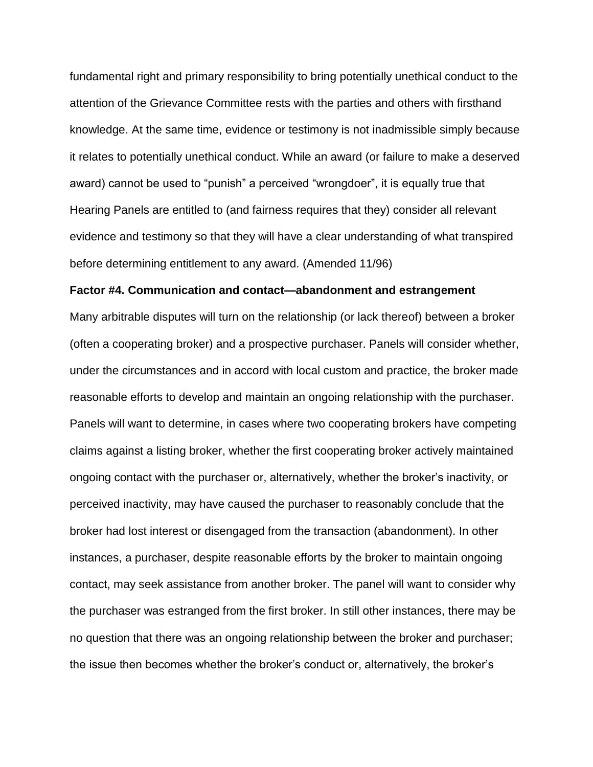fundamental right and primary responsibility to bring potentially unethical conduct to the attention of the Grievance Committee rests with the parties and others with firsthand knowledge. At the same time, evidence or testimony is not inadmissible simply because it relates to potentially unethical conduct. While an award (or failure to make a deserved award) cannot be used to "punish" a perceived "wrongdoer", it is equally true that Hearing Panels are entitled to (and fairness requires that they) consider all relevant evidence and testimony so that they will have a clear understanding of what transpired before determining entitlement to any award. (Amended 11/96)

#### **Factor #4. Communication and contact—abandonment and estrangement**

Many arbitrable disputes will turn on the relationship (or lack thereof) between a broker (often a cooperating broker) and a prospective purchaser. Panels will consider whether, under the circumstances and in accord with local custom and practice, the broker made reasonable efforts to develop and maintain an ongoing relationship with the purchaser. Panels will want to determine, in cases where two cooperating brokers have competing claims against a listing broker, whether the first cooperating broker actively maintained ongoing contact with the purchaser or, alternatively, whether the broker's inactivity, or perceived inactivity, may have caused the purchaser to reasonably conclude that the broker had lost interest or disengaged from the transaction (abandonment). In other instances, a purchaser, despite reasonable efforts by the broker to maintain ongoing contact, may seek assistance from another broker. The panel will want to consider why the purchaser was estranged from the first broker. In still other instances, there may be no question that there was an ongoing relationship between the broker and purchaser; the issue then becomes whether the broker's conduct or, alternatively, the broker's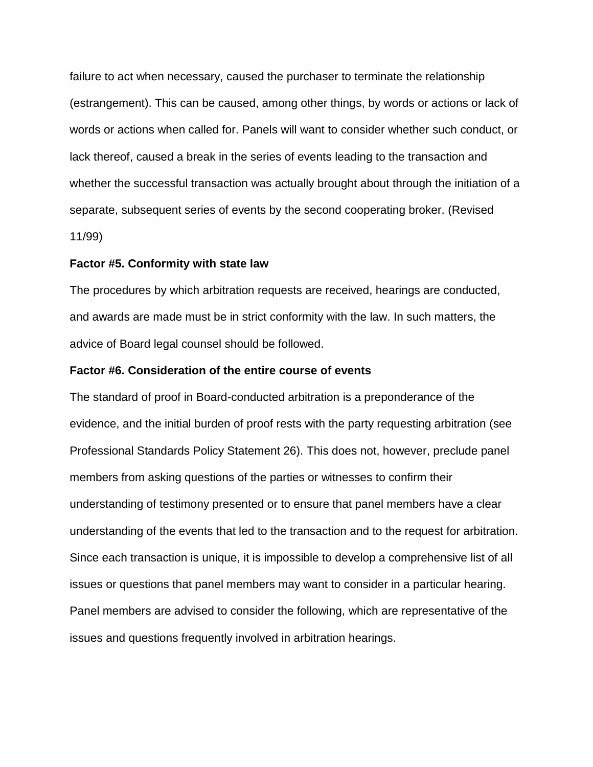failure to act when necessary, caused the purchaser to terminate the relationship (estrangement). This can be caused, among other things, by words or actions or lack of words or actions when called for. Panels will want to consider whether such conduct, or lack thereof, caused a break in the series of events leading to the transaction and whether the successful transaction was actually brought about through the initiation of a separate, subsequent series of events by the second cooperating broker. (Revised 11/99)

#### **Factor #5. Conformity with state law**

The procedures by which arbitration requests are received, hearings are conducted, and awards are made must be in strict conformity with the law. In such matters, the advice of Board legal counsel should be followed.

### **Factor #6. Consideration of the entire course of events**

The standard of proof in Board-conducted arbitration is a preponderance of the evidence, and the initial burden of proof rests with the party requesting arbitration (see Professional Standards Policy Statement 26). This does not, however, preclude panel members from asking questions of the parties or witnesses to confirm their understanding of testimony presented or to ensure that panel members have a clear understanding of the events that led to the transaction and to the request for arbitration. Since each transaction is unique, it is impossible to develop a comprehensive list of all issues or questions that panel members may want to consider in a particular hearing. Panel members are advised to consider the following, which are representative of the issues and questions frequently involved in arbitration hearings.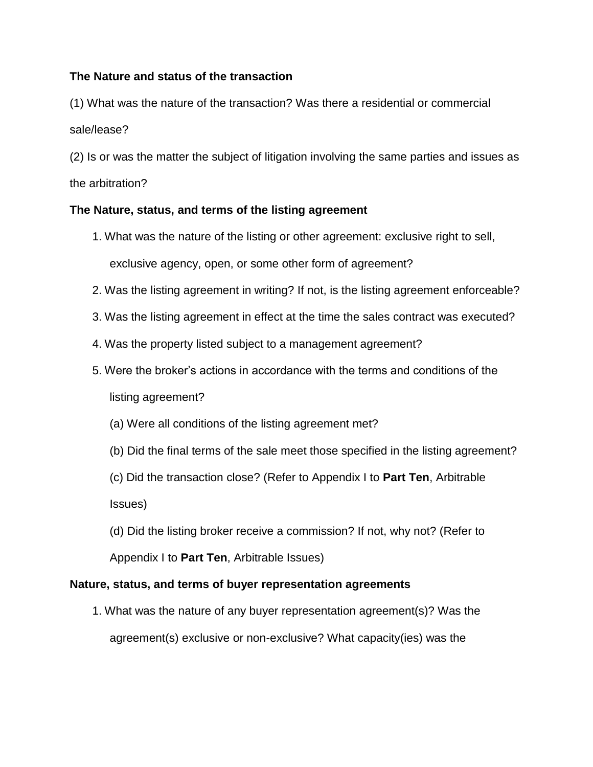## **The Nature and status of the transaction**

(1) What was the nature of the transaction? Was there a residential or commercial sale/lease?

(2) Is or was the matter the subject of litigation involving the same parties and issues as the arbitration?

### **The Nature, status, and terms of the listing agreement**

- 1. What was the nature of the listing or other agreement: exclusive right to sell, exclusive agency, open, or some other form of agreement?
- 2. Was the listing agreement in writing? If not, is the listing agreement enforceable?
- 3. Was the listing agreement in effect at the time the sales contract was executed?
- 4. Was the property listed subject to a management agreement?
- 5. Were the broker's actions in accordance with the terms and conditions of the listing agreement?
	- (a) Were all conditions of the listing agreement met?
	- (b) Did the final terms of the sale meet those specified in the listing agreement?

(c) Did the transaction close? (Refer to Appendix I to **Part Ten**, Arbitrable Issues)

(d) Did the listing broker receive a commission? If not, why not? (Refer to Appendix I to **Part Ten**, Arbitrable Issues)

### **Nature, status, and terms of buyer representation agreements**

1. What was the nature of any buyer representation agreement(s)? Was the agreement(s) exclusive or non-exclusive? What capacity(ies) was the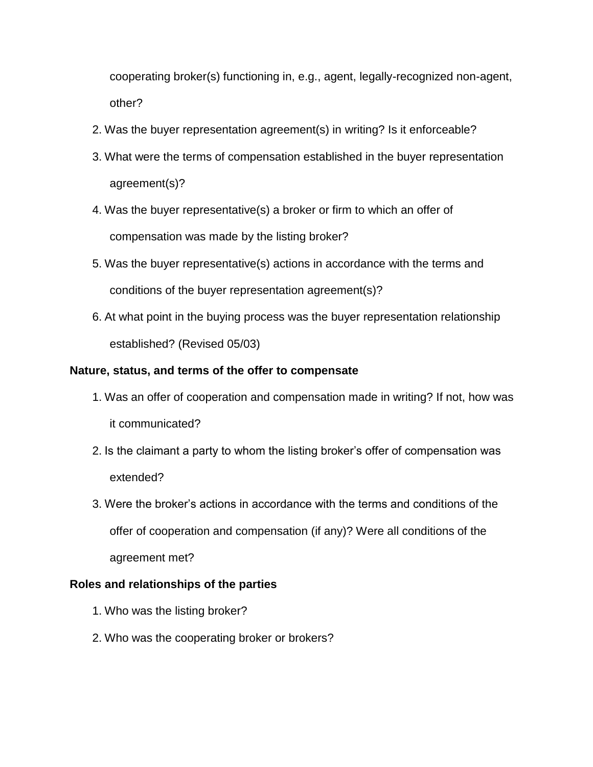cooperating broker(s) functioning in, e.g., agent, legally-recognized non-agent, other?

- 2. Was the buyer representation agreement(s) in writing? Is it enforceable?
- 3. What were the terms of compensation established in the buyer representation agreement(s)?
- 4. Was the buyer representative(s) a broker or firm to which an offer of compensation was made by the listing broker?
- 5. Was the buyer representative(s) actions in accordance with the terms and conditions of the buyer representation agreement(s)?
- 6. At what point in the buying process was the buyer representation relationship established? (Revised 05/03)

# **Nature, status, and terms of the offer to compensate**

- 1. Was an offer of cooperation and compensation made in writing? If not, how was it communicated?
- 2. Is the claimant a party to whom the listing broker's offer of compensation was extended?
- 3. Were the broker's actions in accordance with the terms and conditions of the offer of cooperation and compensation (if any)? Were all conditions of the agreement met?

# **Roles and relationships of the parties**

- 1. Who was the listing broker?
- 2. Who was the cooperating broker or brokers?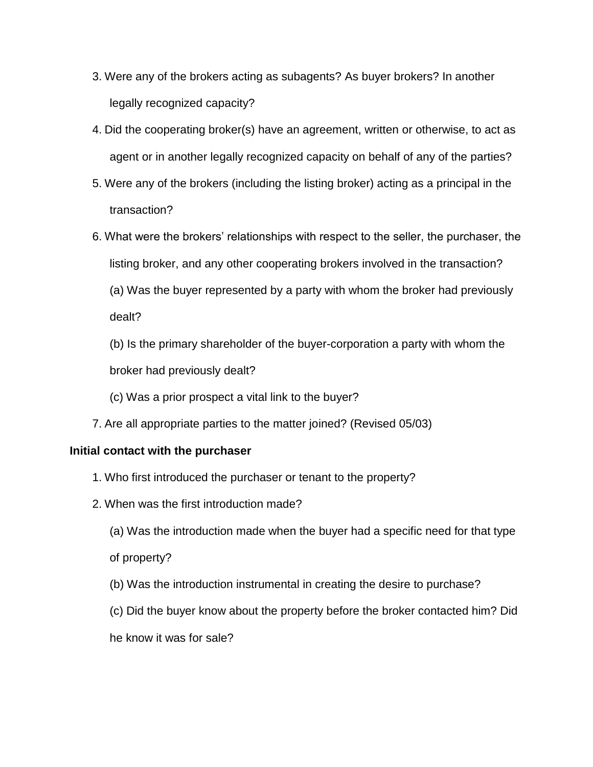- 3. Were any of the brokers acting as subagents? As buyer brokers? In another legally recognized capacity?
- 4. Did the cooperating broker(s) have an agreement, written or otherwise, to act as agent or in another legally recognized capacity on behalf of any of the parties?
- 5. Were any of the brokers (including the listing broker) acting as a principal in the transaction?
- 6. What were the brokers' relationships with respect to the seller, the purchaser, the listing broker, and any other cooperating brokers involved in the transaction? (a) Was the buyer represented by a party with whom the broker had previously dealt?
	- (b) Is the primary shareholder of the buyer-corporation a party with whom the broker had previously dealt?
	- (c) Was a prior prospect a vital link to the buyer?
- 7. Are all appropriate parties to the matter joined? (Revised 05/03)

# **Initial contact with the purchaser**

- 1. Who first introduced the purchaser or tenant to the property?
- 2. When was the first introduction made?
	- (a) Was the introduction made when the buyer had a specific need for that type

of property?

- (b) Was the introduction instrumental in creating the desire to purchase?
- (c) Did the buyer know about the property before the broker contacted him? Did

he know it was for sale?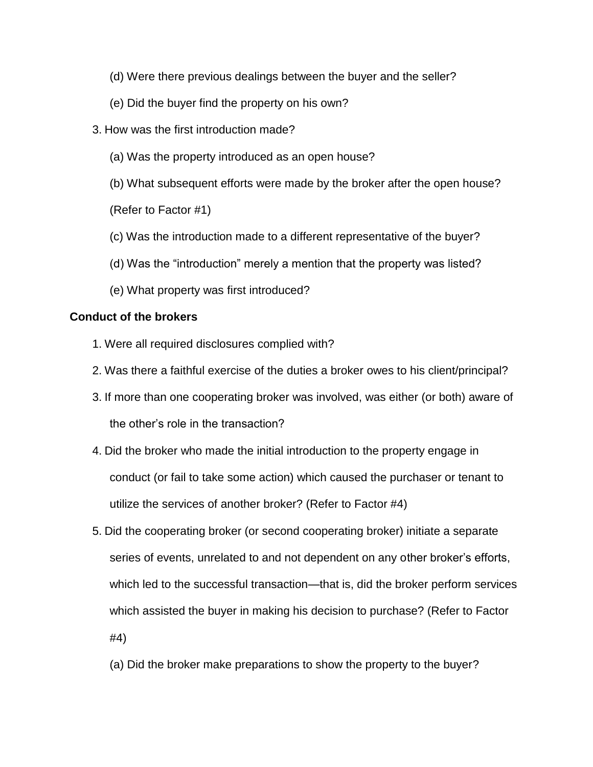- (d) Were there previous dealings between the buyer and the seller?
- (e) Did the buyer find the property on his own?
- 3. How was the first introduction made?
	- (a) Was the property introduced as an open house?
	- (b) What subsequent efforts were made by the broker after the open house?

(Refer to Factor #1)

- (c) Was the introduction made to a different representative of the buyer?
- (d) Was the "introduction" merely a mention that the property was listed?
- (e) What property was first introduced?

### **Conduct of the brokers**

- 1. Were all required disclosures complied with?
- 2. Was there a faithful exercise of the duties a broker owes to his client/principal?
- 3. If more than one cooperating broker was involved, was either (or both) aware of the other's role in the transaction?
- 4. Did the broker who made the initial introduction to the property engage in conduct (or fail to take some action) which caused the purchaser or tenant to utilize the services of another broker? (Refer to Factor #4)
- 5. Did the cooperating broker (or second cooperating broker) initiate a separate series of events, unrelated to and not dependent on any other broker's efforts, which led to the successful transaction—that is, did the broker perform services which assisted the buyer in making his decision to purchase? (Refer to Factor #4)
	- (a) Did the broker make preparations to show the property to the buyer?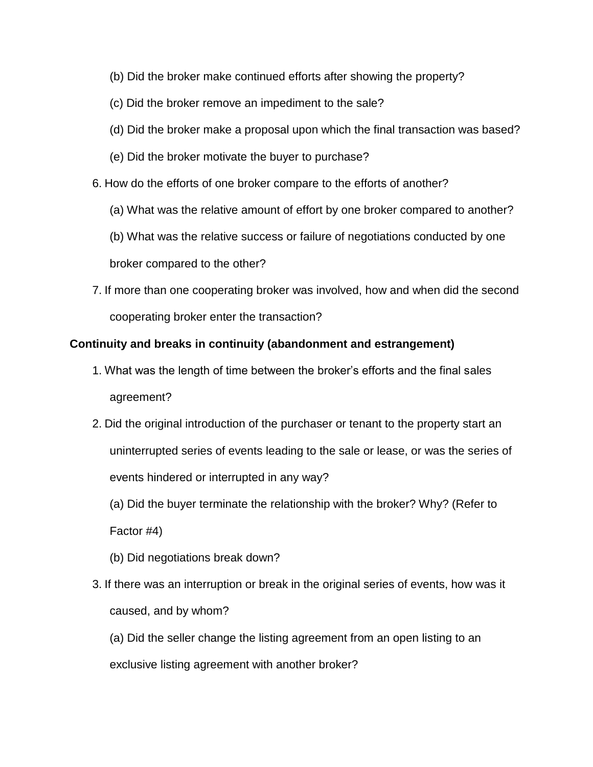- (b) Did the broker make continued efforts after showing the property?
- (c) Did the broker remove an impediment to the sale?
- (d) Did the broker make a proposal upon which the final transaction was based?
- (e) Did the broker motivate the buyer to purchase?
- 6. How do the efforts of one broker compare to the efforts of another?
	- (a) What was the relative amount of effort by one broker compared to another?

(b) What was the relative success or failure of negotiations conducted by one broker compared to the other?

7. If more than one cooperating broker was involved, how and when did the second cooperating broker enter the transaction?

### **Continuity and breaks in continuity (abandonment and estrangement)**

- 1. What was the length of time between the broker's efforts and the final sales agreement?
- 2. Did the original introduction of the purchaser or tenant to the property start an uninterrupted series of events leading to the sale or lease, or was the series of events hindered or interrupted in any way?

(a) Did the buyer terminate the relationship with the broker? Why? (Refer to Factor #4)

- (b) Did negotiations break down?
- 3. If there was an interruption or break in the original series of events, how was it caused, and by whom?

(a) Did the seller change the listing agreement from an open listing to an exclusive listing agreement with another broker?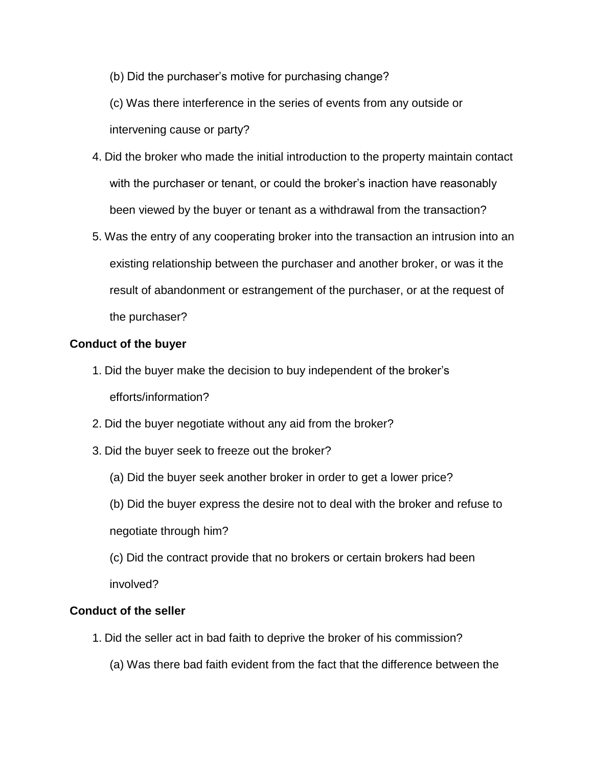(b) Did the purchaser's motive for purchasing change?

(c) Was there interference in the series of events from any outside or intervening cause or party?

- 4. Did the broker who made the initial introduction to the property maintain contact with the purchaser or tenant, or could the broker's inaction have reasonably been viewed by the buyer or tenant as a withdrawal from the transaction?
- 5. Was the entry of any cooperating broker into the transaction an intrusion into an existing relationship between the purchaser and another broker, or was it the result of abandonment or estrangement of the purchaser, or at the request of the purchaser?

### **Conduct of the buyer**

- 1. Did the buyer make the decision to buy independent of the broker's efforts/information?
- 2. Did the buyer negotiate without any aid from the broker?
- 3. Did the buyer seek to freeze out the broker?
	- (a) Did the buyer seek another broker in order to get a lower price?
	- (b) Did the buyer express the desire not to deal with the broker and refuse to negotiate through him?
	- (c) Did the contract provide that no brokers or certain brokers had been involved?

# **Conduct of the seller**

- 1. Did the seller act in bad faith to deprive the broker of his commission?
	- (a) Was there bad faith evident from the fact that the difference between the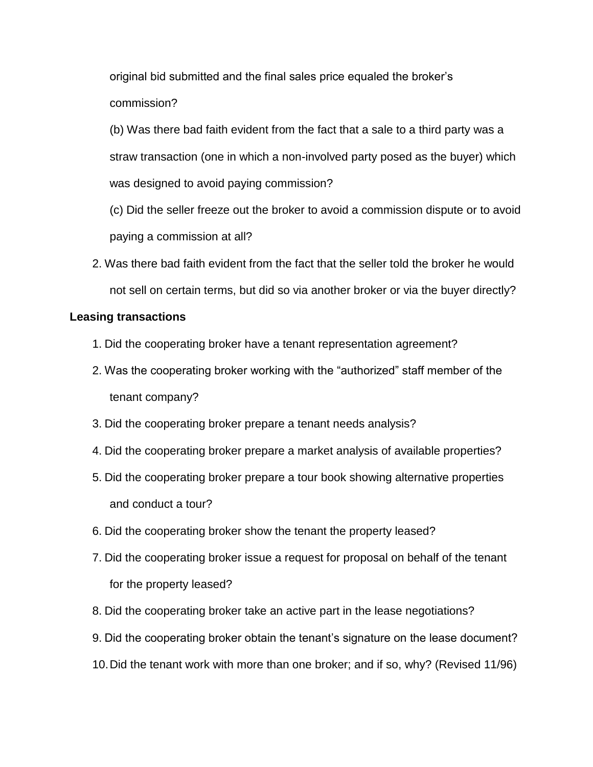original bid submitted and the final sales price equaled the broker's commission?

(b) Was there bad faith evident from the fact that a sale to a third party was a straw transaction (one in which a non-involved party posed as the buyer) which was designed to avoid paying commission?

(c) Did the seller freeze out the broker to avoid a commission dispute or to avoid paying a commission at all?

2. Was there bad faith evident from the fact that the seller told the broker he would not sell on certain terms, but did so via another broker or via the buyer directly?

### **Leasing transactions**

- 1. Did the cooperating broker have a tenant representation agreement?
- 2. Was the cooperating broker working with the "authorized" staff member of the tenant company?
- 3. Did the cooperating broker prepare a tenant needs analysis?
- 4. Did the cooperating broker prepare a market analysis of available properties?
- 5. Did the cooperating broker prepare a tour book showing alternative properties and conduct a tour?
- 6. Did the cooperating broker show the tenant the property leased?
- 7. Did the cooperating broker issue a request for proposal on behalf of the tenant for the property leased?
- 8. Did the cooperating broker take an active part in the lease negotiations?
- 9. Did the cooperating broker obtain the tenant's signature on the lease document?
- 10.Did the tenant work with more than one broker; and if so, why? (Revised 11/96)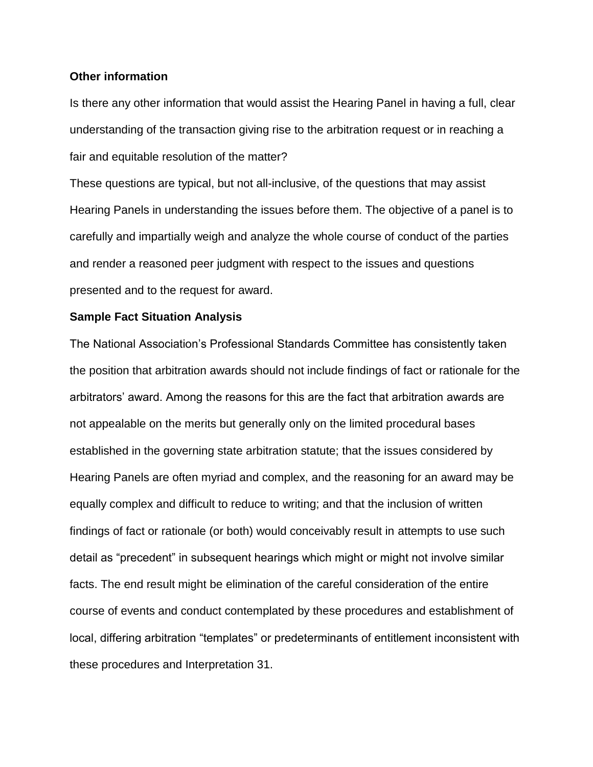### **Other information**

Is there any other information that would assist the Hearing Panel in having a full, clear understanding of the transaction giving rise to the arbitration request or in reaching a fair and equitable resolution of the matter?

These questions are typical, but not all-inclusive, of the questions that may assist Hearing Panels in understanding the issues before them. The objective of a panel is to carefully and impartially weigh and analyze the whole course of conduct of the parties and render a reasoned peer judgment with respect to the issues and questions presented and to the request for award.

### **Sample Fact Situation Analysis**

The National Association's Professional Standards Committee has consistently taken the position that arbitration awards should not include findings of fact or rationale for the arbitrators' award. Among the reasons for this are the fact that arbitration awards are not appealable on the merits but generally only on the limited procedural bases established in the governing state arbitration statute; that the issues considered by Hearing Panels are often myriad and complex, and the reasoning for an award may be equally complex and difficult to reduce to writing; and that the inclusion of written findings of fact or rationale (or both) would conceivably result in attempts to use such detail as "precedent" in subsequent hearings which might or might not involve similar facts. The end result might be elimination of the careful consideration of the entire course of events and conduct contemplated by these procedures and establishment of local, differing arbitration "templates" or predeterminants of entitlement inconsistent with these procedures and Interpretation 31.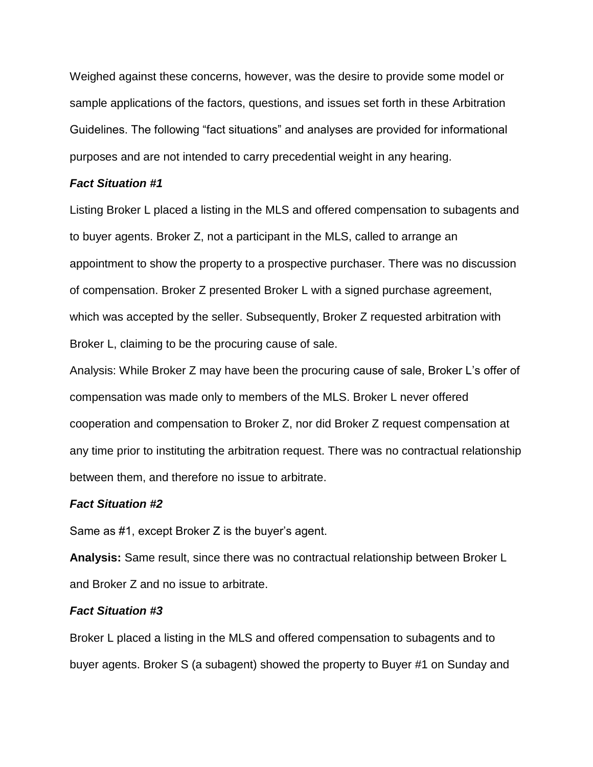Weighed against these concerns, however, was the desire to provide some model or sample applications of the factors, questions, and issues set forth in these Arbitration Guidelines. The following "fact situations" and analyses are provided for informational purposes and are not intended to carry precedential weight in any hearing.

### *Fact Situation #1*

Listing Broker L placed a listing in the MLS and offered compensation to subagents and to buyer agents. Broker Z, not a participant in the MLS, called to arrange an appointment to show the property to a prospective purchaser. There was no discussion of compensation. Broker Z presented Broker L with a signed purchase agreement, which was accepted by the seller. Subsequently, Broker Z requested arbitration with Broker L, claiming to be the procuring cause of sale.

Analysis: While Broker Z may have been the procuring cause of sale, Broker L's offer of compensation was made only to members of the MLS. Broker L never offered cooperation and compensation to Broker Z, nor did Broker Z request compensation at any time prior to instituting the arbitration request. There was no contractual relationship between them, and therefore no issue to arbitrate.

#### *Fact Situation #2*

Same as #1, except Broker Z is the buyer's agent.

**Analysis:** Same result, since there was no contractual relationship between Broker L and Broker Z and no issue to arbitrate.

### *Fact Situation #3*

Broker L placed a listing in the MLS and offered compensation to subagents and to buyer agents. Broker S (a subagent) showed the property to Buyer #1 on Sunday and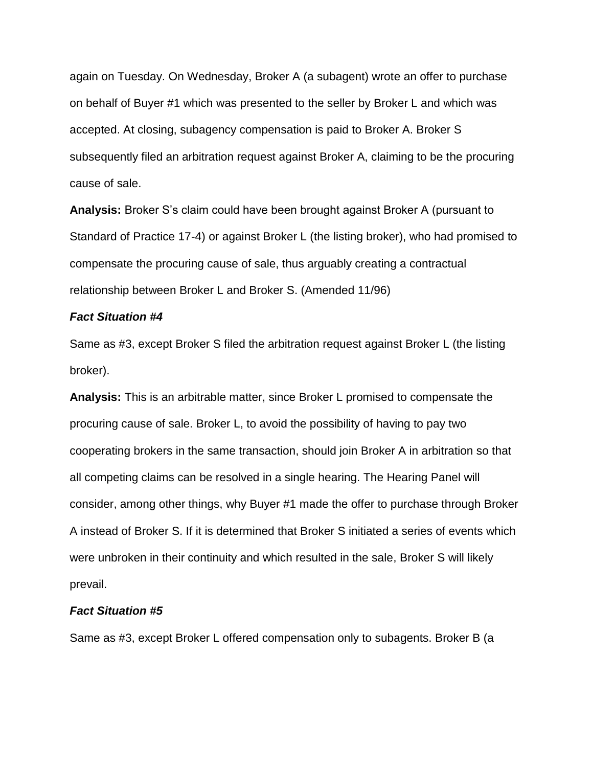again on Tuesday. On Wednesday, Broker A (a subagent) wrote an offer to purchase on behalf of Buyer #1 which was presented to the seller by Broker L and which was accepted. At closing, subagency compensation is paid to Broker A. Broker S subsequently filed an arbitration request against Broker A, claiming to be the procuring cause of sale.

**Analysis:** Broker S's claim could have been brought against Broker A (pursuant to Standard of Practice 17-4) or against Broker L (the listing broker), who had promised to compensate the procuring cause of sale, thus arguably creating a contractual relationship between Broker L and Broker S. (Amended 11/96)

### *Fact Situation #4*

Same as #3, except Broker S filed the arbitration request against Broker L (the listing broker).

**Analysis:** This is an arbitrable matter, since Broker L promised to compensate the procuring cause of sale. Broker L, to avoid the possibility of having to pay two cooperating brokers in the same transaction, should join Broker A in arbitration so that all competing claims can be resolved in a single hearing. The Hearing Panel will consider, among other things, why Buyer #1 made the offer to purchase through Broker A instead of Broker S. If it is determined that Broker S initiated a series of events which were unbroken in their continuity and which resulted in the sale, Broker S will likely prevail.

### *Fact Situation #5*

Same as #3, except Broker L offered compensation only to subagents. Broker B (a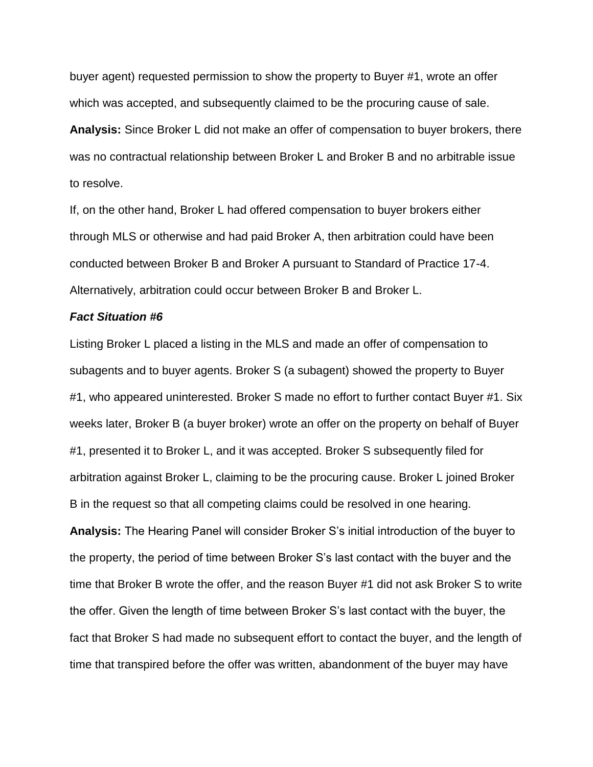buyer agent) requested permission to show the property to Buyer #1, wrote an offer which was accepted, and subsequently claimed to be the procuring cause of sale. **Analysis:** Since Broker L did not make an offer of compensation to buyer brokers, there was no contractual relationship between Broker L and Broker B and no arbitrable issue to resolve.

If, on the other hand, Broker L had offered compensation to buyer brokers either through MLS or otherwise and had paid Broker A, then arbitration could have been conducted between Broker B and Broker A pursuant to Standard of Practice 17-4. Alternatively, arbitration could occur between Broker B and Broker L.

#### *Fact Situation #6*

Listing Broker L placed a listing in the MLS and made an offer of compensation to subagents and to buyer agents. Broker S (a subagent) showed the property to Buyer #1, who appeared uninterested. Broker S made no effort to further contact Buyer #1. Six weeks later, Broker B (a buyer broker) wrote an offer on the property on behalf of Buyer #1, presented it to Broker L, and it was accepted. Broker S subsequently filed for arbitration against Broker L, claiming to be the procuring cause. Broker L joined Broker B in the request so that all competing claims could be resolved in one hearing. **Analysis:** The Hearing Panel will consider Broker S's initial introduction of the buyer to the property, the period of time between Broker S's last contact with the buyer and the time that Broker B wrote the offer, and the reason Buyer #1 did not ask Broker S to write the offer. Given the length of time between Broker S's last contact with the buyer, the fact that Broker S had made no subsequent effort to contact the buyer, and the length of time that transpired before the offer was written, abandonment of the buyer may have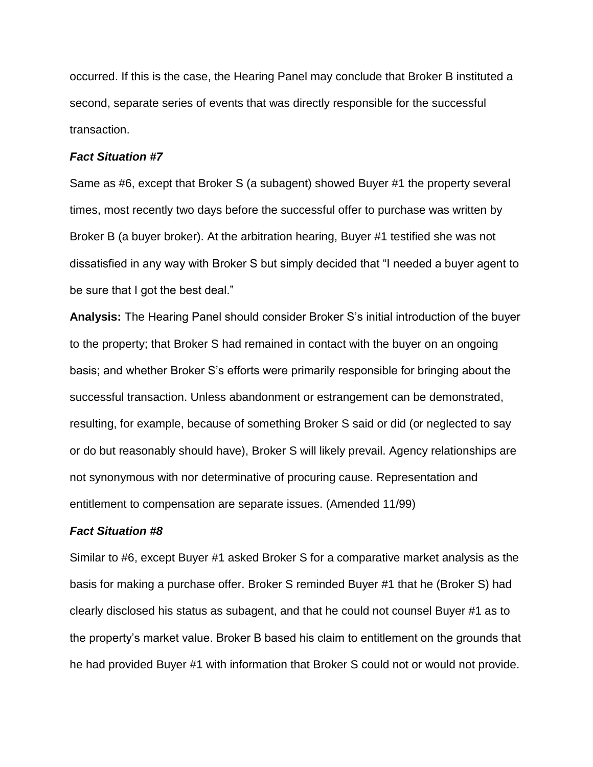occurred. If this is the case, the Hearing Panel may conclude that Broker B instituted a second, separate series of events that was directly responsible for the successful transaction.

#### *Fact Situation #7*

Same as #6, except that Broker S (a subagent) showed Buyer #1 the property several times, most recently two days before the successful offer to purchase was written by Broker B (a buyer broker). At the arbitration hearing, Buyer #1 testified she was not dissatisfied in any way with Broker S but simply decided that "I needed a buyer agent to be sure that I got the best deal."

**Analysis:** The Hearing Panel should consider Broker S's initial introduction of the buyer to the property; that Broker S had remained in contact with the buyer on an ongoing basis; and whether Broker S's efforts were primarily responsible for bringing about the successful transaction. Unless abandonment or estrangement can be demonstrated, resulting, for example, because of something Broker S said or did (or neglected to say or do but reasonably should have), Broker S will likely prevail. Agency relationships are not synonymous with nor determinative of procuring cause. Representation and entitlement to compensation are separate issues. (Amended 11/99)

### *Fact Situation #8*

Similar to #6, except Buyer #1 asked Broker S for a comparative market analysis as the basis for making a purchase offer. Broker S reminded Buyer #1 that he (Broker S) had clearly disclosed his status as subagent, and that he could not counsel Buyer #1 as to the property's market value. Broker B based his claim to entitlement on the grounds that he had provided Buyer #1 with information that Broker S could not or would not provide.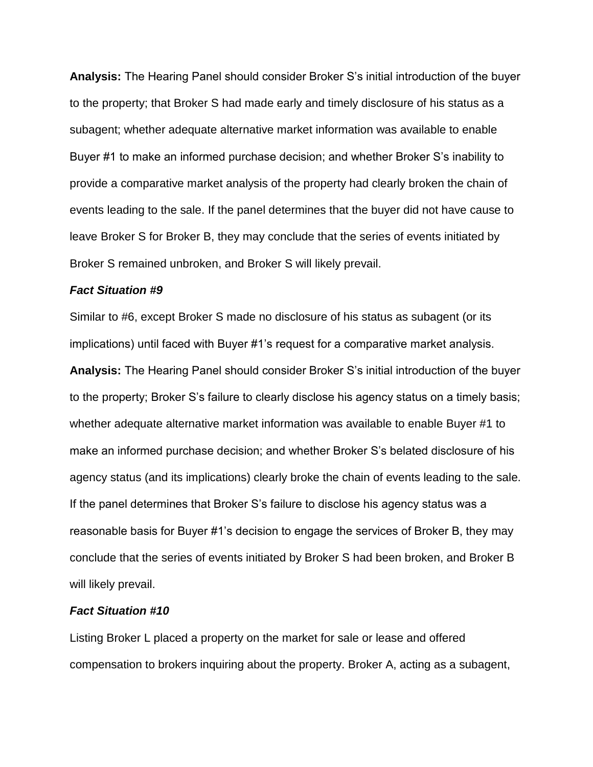**Analysis:** The Hearing Panel should consider Broker S's initial introduction of the buyer to the property; that Broker S had made early and timely disclosure of his status as a subagent; whether adequate alternative market information was available to enable Buyer #1 to make an informed purchase decision; and whether Broker S's inability to provide a comparative market analysis of the property had clearly broken the chain of events leading to the sale. If the panel determines that the buyer did not have cause to leave Broker S for Broker B, they may conclude that the series of events initiated by Broker S remained unbroken, and Broker S will likely prevail.

### *Fact Situation #9*

Similar to #6, except Broker S made no disclosure of his status as subagent (or its implications) until faced with Buyer #1's request for a comparative market analysis.

**Analysis:** The Hearing Panel should consider Broker S's initial introduction of the buyer to the property; Broker S's failure to clearly disclose his agency status on a timely basis; whether adequate alternative market information was available to enable Buyer #1 to make an informed purchase decision; and whether Broker S's belated disclosure of his agency status (and its implications) clearly broke the chain of events leading to the sale. If the panel determines that Broker S's failure to disclose his agency status was a reasonable basis for Buyer #1's decision to engage the services of Broker B, they may conclude that the series of events initiated by Broker S had been broken, and Broker B will likely prevail.

### *Fact Situation #10*

Listing Broker L placed a property on the market for sale or lease and offered compensation to brokers inquiring about the property. Broker A, acting as a subagent,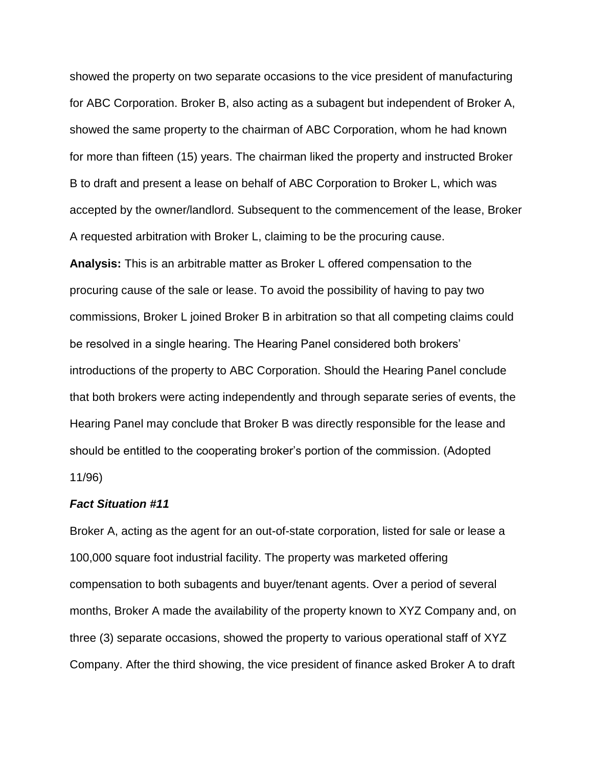showed the property on two separate occasions to the vice president of manufacturing for ABC Corporation. Broker B, also acting as a subagent but independent of Broker A, showed the same property to the chairman of ABC Corporation, whom he had known for more than fifteen (15) years. The chairman liked the property and instructed Broker B to draft and present a lease on behalf of ABC Corporation to Broker L, which was accepted by the owner/landlord. Subsequent to the commencement of the lease, Broker A requested arbitration with Broker L, claiming to be the procuring cause.

**Analysis:** This is an arbitrable matter as Broker L offered compensation to the procuring cause of the sale or lease. To avoid the possibility of having to pay two commissions, Broker L joined Broker B in arbitration so that all competing claims could be resolved in a single hearing. The Hearing Panel considered both brokers' introductions of the property to ABC Corporation. Should the Hearing Panel conclude that both brokers were acting independently and through separate series of events, the Hearing Panel may conclude that Broker B was directly responsible for the lease and should be entitled to the cooperating broker's portion of the commission. (Adopted 11/96)

### *Fact Situation #11*

Broker A, acting as the agent for an out-of-state corporation, listed for sale or lease a 100,000 square foot industrial facility. The property was marketed offering compensation to both subagents and buyer/tenant agents. Over a period of several months, Broker A made the availability of the property known to XYZ Company and, on three (3) separate occasions, showed the property to various operational staff of XYZ Company. After the third showing, the vice president of finance asked Broker A to draft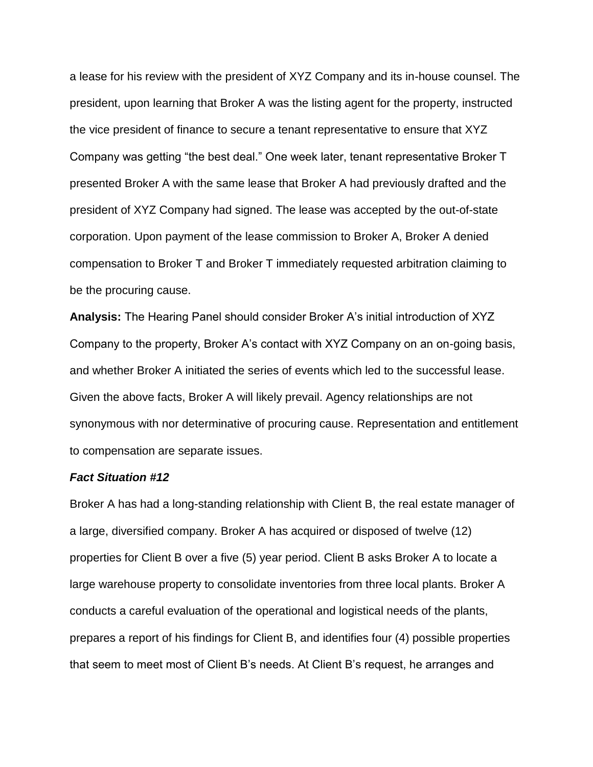a lease for his review with the president of XYZ Company and its in-house counsel. The president, upon learning that Broker A was the listing agent for the property, instructed the vice president of finance to secure a tenant representative to ensure that XYZ Company was getting "the best deal." One week later, tenant representative Broker T presented Broker A with the same lease that Broker A had previously drafted and the president of XYZ Company had signed. The lease was accepted by the out-of-state corporation. Upon payment of the lease commission to Broker A, Broker A denied compensation to Broker T and Broker T immediately requested arbitration claiming to be the procuring cause.

**Analysis:** The Hearing Panel should consider Broker A's initial introduction of XYZ Company to the property, Broker A's contact with XYZ Company on an on-going basis, and whether Broker A initiated the series of events which led to the successful lease. Given the above facts, Broker A will likely prevail. Agency relationships are not synonymous with nor determinative of procuring cause. Representation and entitlement to compensation are separate issues.

#### *Fact Situation #12*

Broker A has had a long-standing relationship with Client B, the real estate manager of a large, diversified company. Broker A has acquired or disposed of twelve (12) properties for Client B over a five (5) year period. Client B asks Broker A to locate a large warehouse property to consolidate inventories from three local plants. Broker A conducts a careful evaluation of the operational and logistical needs of the plants, prepares a report of his findings for Client B, and identifies four (4) possible properties that seem to meet most of Client B's needs. At Client B's request, he arranges and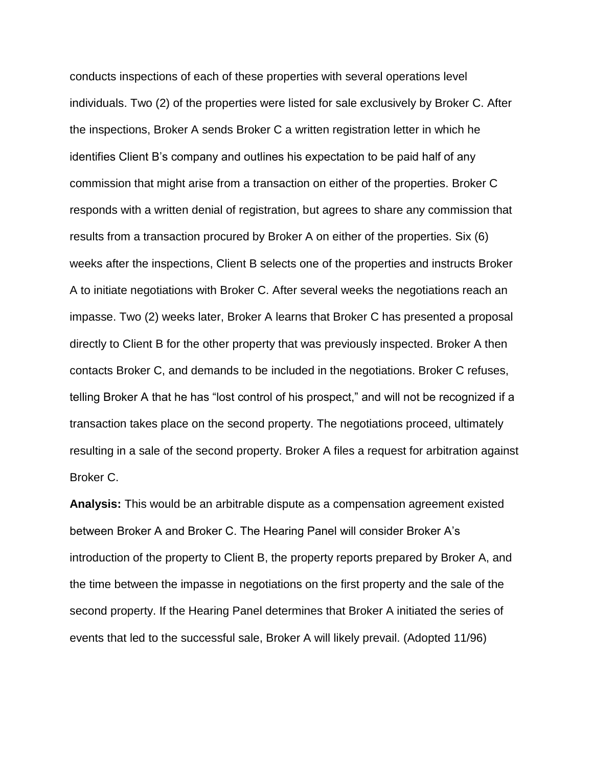conducts inspections of each of these properties with several operations level individuals. Two (2) of the properties were listed for sale exclusively by Broker C. After the inspections, Broker A sends Broker C a written registration letter in which he identifies Client B's company and outlines his expectation to be paid half of any commission that might arise from a transaction on either of the properties. Broker C responds with a written denial of registration, but agrees to share any commission that results from a transaction procured by Broker A on either of the properties. Six (6) weeks after the inspections, Client B selects one of the properties and instructs Broker A to initiate negotiations with Broker C. After several weeks the negotiations reach an impasse. Two (2) weeks later, Broker A learns that Broker C has presented a proposal directly to Client B for the other property that was previously inspected. Broker A then contacts Broker C, and demands to be included in the negotiations. Broker C refuses, telling Broker A that he has "lost control of his prospect," and will not be recognized if a transaction takes place on the second property. The negotiations proceed, ultimately resulting in a sale of the second property. Broker A files a request for arbitration against Broker C.

**Analysis:** This would be an arbitrable dispute as a compensation agreement existed between Broker A and Broker C. The Hearing Panel will consider Broker A's introduction of the property to Client B, the property reports prepared by Broker A, and the time between the impasse in negotiations on the first property and the sale of the second property. If the Hearing Panel determines that Broker A initiated the series of events that led to the successful sale, Broker A will likely prevail. (Adopted 11/96)